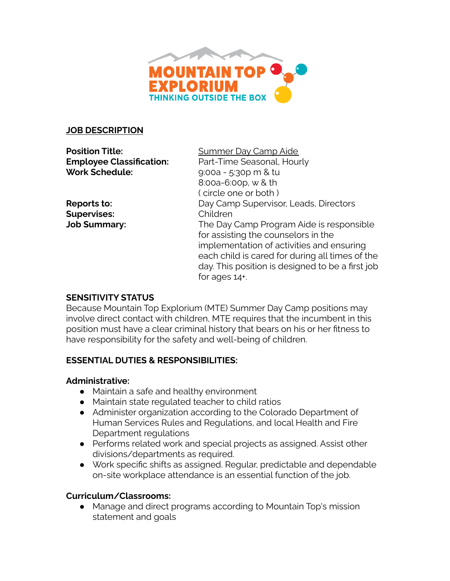

### **JOB DESCRIPTION**

**Position Title:** Summer Day Camp Aide **Work Schedule:** 9:00a - 5:30p m & tu

**Supervises:** Children

**Employee Classification:** Part-Time Seasonal, Hourly 8:00a-6:00p, w & th ( circle one or both ) **Reports to:** Day Camp Supervisor, Leads, Directors **Job Summary:** The Day Camp Program Aide is responsible for assisting the counselors in the implementation of activities and ensuring each child is cared for during all times of the day. This position is designed to be a first job for ages 14+.

### **SENSITIVITY STATUS**

Because Mountain Top Explorium (MTE) Summer Day Camp positions may involve direct contact with children, MTE requires that the incumbent in this position must have a clear criminal history that bears on his or her fitness to have responsibility for the safety and well-being of children.

### **ESSENTIAL DUTIES & RESPONSIBILITIES:**

### **Administrative:**

- Maintain a safe and healthy environment
- Maintain state regulated teacher to child ratios
- Administer organization according to the Colorado Department of Human Services Rules and Regulations, and local Health and Fire Department regulations
- Performs related work and special projects as assigned. Assist other divisions/departments as required.
- Work specific shifts as assigned. Regular, predictable and dependable on-site workplace attendance is an essential function of the job.

### **Curriculum/Classrooms:**

● Manage and direct programs according to Mountain Top's mission statement and goals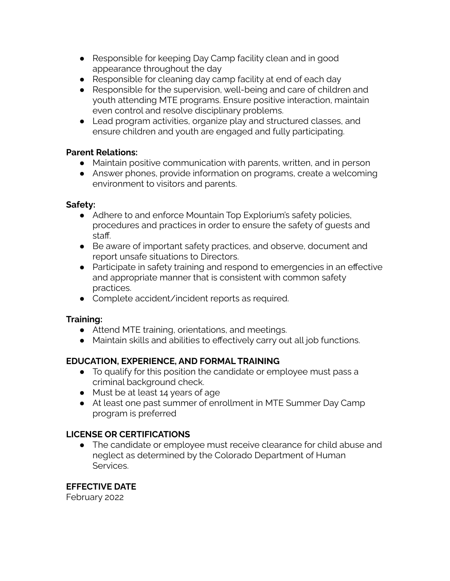- Responsible for keeping Day Camp facility clean and in good appearance throughout the day
- Responsible for cleaning day camp facility at end of each day
- Responsible for the supervision, well-being and care of children and youth attending MTE programs. Ensure positive interaction, maintain even control and resolve disciplinary problems.
- Lead program activities, organize play and structured classes, and ensure children and youth are engaged and fully participating.

## **Parent Relations:**

- Maintain positive communication with parents, written, and in person
- Answer phones, provide information on programs, create a welcoming environment to visitors and parents.

## **Safety:**

- Adhere to and enforce Mountain Top Explorium's safety policies, procedures and practices in order to ensure the safety of guests and staff.
- Be aware of important safety practices, and observe, document and report unsafe situations to Directors.
- Participate in safety training and respond to emergencies in an effective and appropriate manner that is consistent with common safety practices.
- Complete accident/incident reports as required.

# **Training:**

- Attend MTE training, orientations, and meetings.
- Maintain skills and abilities to effectively carry out all job functions.

# **EDUCATION, EXPERIENCE, AND FORMAL TRAINING**

- To qualify for this position the candidate or employee must pass a criminal background check.
- Must be at least 14 years of age
- At least one past summer of enrollment in MTE Summer Day Camp program is preferred

# **LICENSE OR CERTIFICATIONS**

● The candidate or employee must receive clearance for child abuse and neglect as determined by the Colorado Department of Human Services.

# **EFFECTIVE DATE**

February 2022